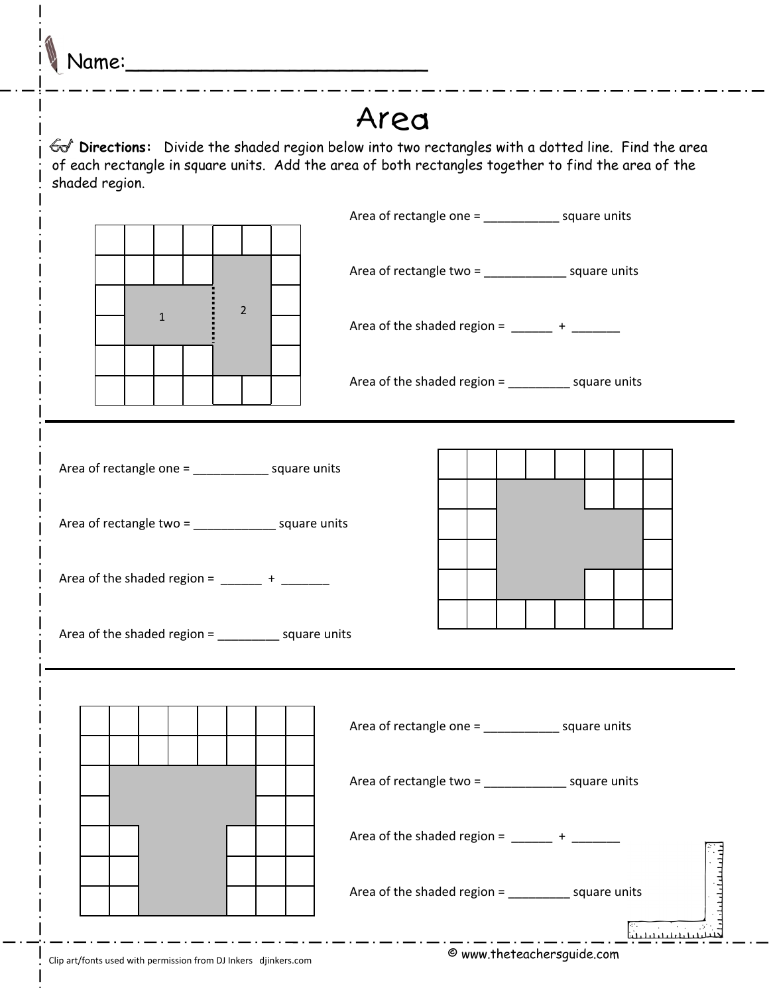Name:

## Area

 **Directions:** Divide the shaded region below into two rectangles with a dotted line. Find the area of each rectangle in square units. Add the area of both rectangles together to find the area of the shaded region.

|                                                                                                                                                                                                                                          | Area of rectangle one = _________________ square units                                                                                                                       |
|------------------------------------------------------------------------------------------------------------------------------------------------------------------------------------------------------------------------------------------|------------------------------------------------------------------------------------------------------------------------------------------------------------------------------|
| $\overline{2}$<br>$\mathbf{1}$                                                                                                                                                                                                           | Area of rectangle two = _________________ square units<br>Area of the shaded region = $\frac{1}{2}$ + $\frac{1}{2}$<br>Area of the shaded region = ____________ square units |
|                                                                                                                                                                                                                                          |                                                                                                                                                                              |
| Area of rectangle one = _________________ square units<br>Area of rectangle two = __________________ square units<br>Area of the shaded region = $\frac{1}{2}$ + $\frac{1}{2}$<br>Area of the shaded region = _____________ square units |                                                                                                                                                                              |
|                                                                                                                                                                                                                                          |                                                                                                                                                                              |
|                                                                                                                                                                                                                                          | Area of rectangle one = ________________ square units                                                                                                                        |
|                                                                                                                                                                                                                                          | Area of rectangle two = __________________ square units                                                                                                                      |
|                                                                                                                                                                                                                                          | Area of the shaded region = $\frac{1}{2}$ + $\frac{1}{2}$                                                                                                                    |
|                                                                                                                                                                                                                                          | Area of the shaded region = ____________ square units                                                                                                                        |
|                                                                                                                                                                                                                                          |                                                                                                                                                                              |